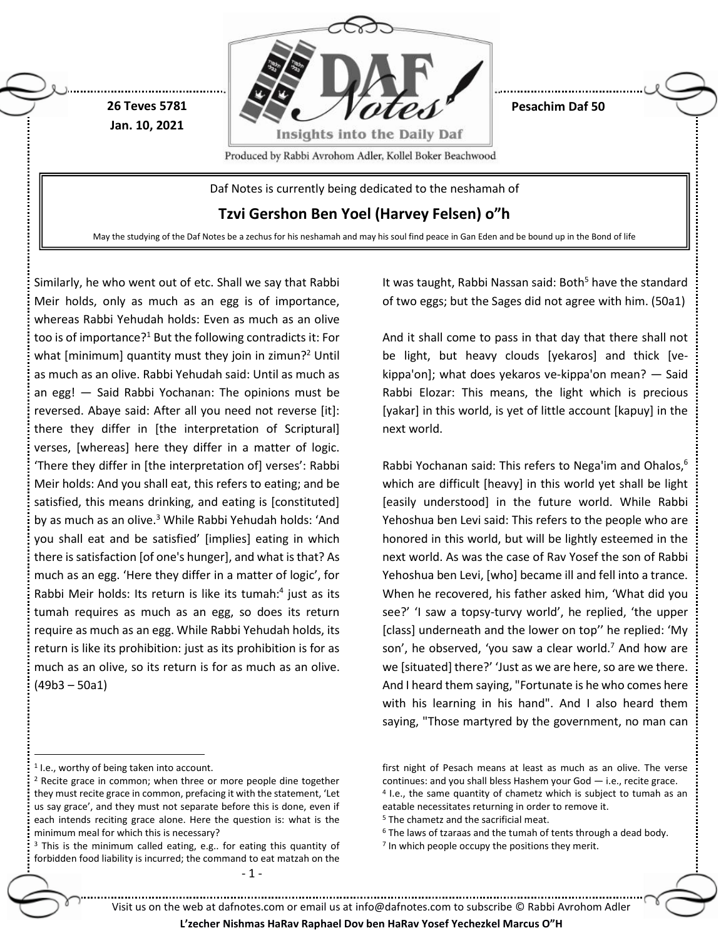

Similarly, he who went out of etc. Shall we say that Rabbi Meir holds, only as much as an egg is of importance, whereas Rabbi Yehudah holds: Even as much as an olive too is of importance?<sup>1</sup> But the following contradicts it: For what [minimum] quantity must they join in zimun?<sup>2</sup> Until as much as an olive. Rabbi Yehudah said: Until as much as an egg! — Said Rabbi Yochanan: The opinions must be reversed. Abaye said: After all you need not reverse [it]: there they differ in [the interpretation of Scriptural] verses, [whereas] here they differ in a matter of logic. 'There they differ in [the interpretation of] verses': Rabbi Meir holds: And you shall eat, this refers to eating; and be satisfied, this means drinking, and eating is [constituted] by as much as an olive.<sup>3</sup> While Rabbi Yehudah holds: 'And you shall eat and be satisfied' [implies] eating in which there is satisfaction [of one's hunger], and what is that? As much as an egg. 'Here they differ in a matter of logic', for Rabbi Meir holds: Its return is like its tumah: 4 just as its tumah requires as much as an egg, so does its return require as much as an egg. While Rabbi Yehudah holds, its return is like its prohibition: just as its prohibition is for as much as an olive, so its return is for as much as an olive. (49b3 – 50a1)

 $\overline{a}$ 

It was taught, Rabbi Nassan said: Both<sup>5</sup> have the standard of two eggs; but the Sages did not agree with him. (50a1)

And it shall come to pass in that day that there shall not be light, but heavy clouds [yekaros] and thick [vekippa'on]; what does yekaros ve-kippa'on mean? — Said Rabbi Elozar: This means, the light which is precious [yakar] in this world, is yet of little account [kapuy] in the next world.

Rabbi Yochanan said: This refers to Nega'im and Ohalos, 6 which are difficult [heavy] in this world yet shall be light [easily understood] in the future world. While Rabbi Yehoshua ben Levi said: This refers to the people who are honored in this world, but will be lightly esteemed in the next world. As was the case of Rav Yosef the son of Rabbi Yehoshua ben Levi, [who] became ill and fell into a trance. When he recovered, his father asked him, 'What did you see?' 'I saw a topsy-turvy world', he replied, 'the upper [class] underneath and the lower on top'' he replied: 'My son', he observed, 'you saw a clear world.<sup>7</sup> And how are we [situated] there?' 'Just as we are here, so are we there. And I heard them saying, "Fortunate is he who comes here with his learning in his hand". And I also heard them saying, "Those martyred by the government, no man can

<sup>5</sup> The chametz and the sacrificial meat.

<sup>7</sup> In which people occupy the positions they merit.

Visit us on the web at dafnotes.com or email us at [info@dafnotes.com](mailto:info@dafnotes.com) to subscribe © Rabbi Avrohom Adler

<sup>1</sup> I.e., worthy of being taken into account.

<sup>2</sup> Recite grace in common; when three or more people dine together they must recite grace in common, prefacing it with the statement, 'Let us say grace', and they must not separate before this is done, even if each intends reciting grace alone. Here the question is: what is the minimum meal for which this is necessary?

<sup>&</sup>lt;sup>3</sup> This is the minimum called eating, e.g.. for eating this quantity of forbidden food liability is incurred; the command to eat matzah on the

first night of Pesach means at least as much as an olive. The verse continues: and you shall bless Hashem your God — i.e., recite grace. 4 I.e., the same quantity of chametz which is subject to tumah as an eatable necessitates returning in order to remove it.

 $6$  The laws of tzaraas and the tumah of tents through a dead body.

**L'zecher Nishmas HaRav Raphael Dov ben HaRav Yosef Yechezkel Marcus O"H**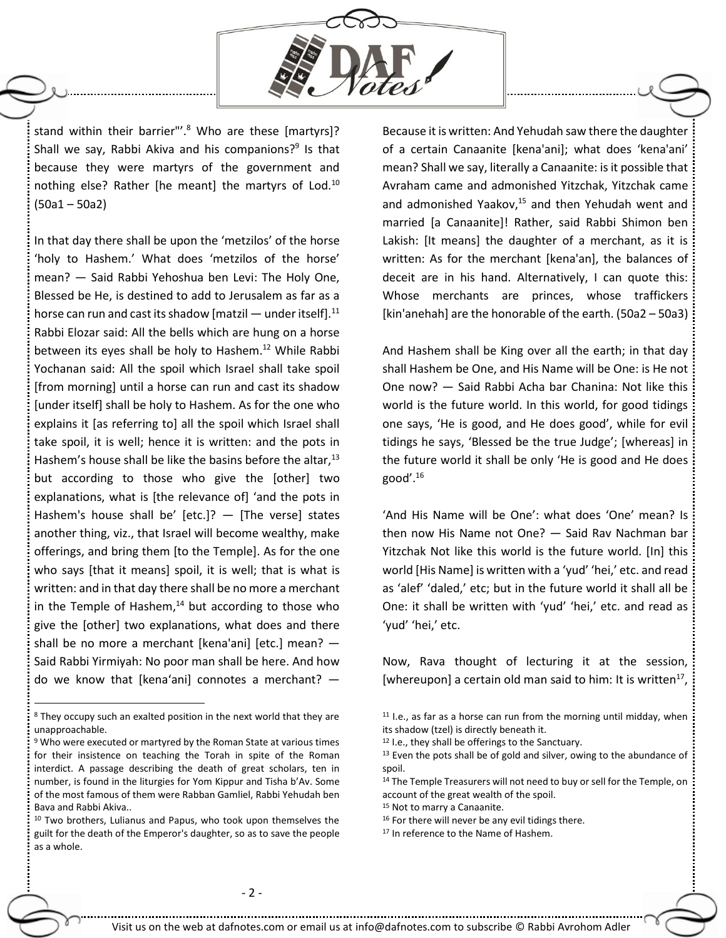

stand within their barrier"'. <sup>8</sup> Who are these [martyrs]? Shall we say, Rabbi Akiva and his companions?<sup>9</sup> Is that because they were martyrs of the government and nothing else? Rather [he meant] the martyrs of Lod.<sup>10</sup> (50a1 – 50a2)

In that day there shall be upon the 'metzilos' of the horse 'holy to Hashem.' What does 'metzilos of the horse' mean? — Said Rabbi Yehoshua ben Levi: The Holy One, Blessed be He, is destined to add to Jerusalem as far as a horse can run and cast its shadow [matzil  $-$  under itself].<sup>11</sup> Rabbi Elozar said: All the bells which are hung on a horse between its eyes shall be holy to Hashem. <sup>12</sup> While Rabbi Yochanan said: All the spoil which Israel shall take spoil [from morning] until a horse can run and cast its shadow [under itself] shall be holy to Hashem. As for the one who explains it [as referring to] all the spoil which Israel shall take spoil, it is well; hence it is written: and the pots in Hashem's house shall be like the basins before the altar,<sup>13</sup> but according to those who give the [other] two explanations, what is [the relevance of] 'and the pots in Hashem's house shall be' [etc.]?  $-$  [The verse] states another thing, viz., that Israel will become wealthy, make offerings, and bring them [to the Temple]. As for the one who says [that it means] spoil, it is well; that is what is written: and in that day there shall be no more a merchant in the Temple of Hashem, $14$  but according to those who give the [other] two explanations, what does and there shall be no more a merchant [kena'ani] [etc.] mean? — Said Rabbi Yirmiyah: No poor man shall be here. And how do we know that [kena'ani] connotes a merchant? —

 $\overline{a}$ 

Because it is written: And Yehudah saw there the daughter of a certain Canaanite [kena'ani]; what does 'kena'ani' mean? Shall we say, literally a Canaanite: is it possible that Avraham came and admonished Yitzchak, Yitzchak came and admonished Yaakov, $15$  and then Yehudah went and married [a Canaanite]! Rather, said Rabbi Shimon ben Lakish: [It means] the daughter of a merchant, as it is written: As for the merchant [kena'an], the balances of deceit are in his hand. Alternatively, I can quote this: Whose merchants are princes, whose traffickers [kin'anehah] are the honorable of the earth. (50a2 – 50a3)

And Hashem shall be King over all the earth; in that day shall Hashem be One, and His Name will be One: is He not One now? — Said Rabbi Acha bar Chanina: Not like this world is the future world. In this world, for good tidings one says, 'He is good, and He does good', while for evil tidings he says, 'Blessed be the true Judge'; [whereas] in the future world it shall be only 'He is good and He does good'. $16$ 

'And His Name will be One': what does 'One' mean? Is then now His Name not One? — Said Rav Nachman bar Yitzchak Not like this world is the future world. [In] this world [His Name] is written with a 'yud' 'hei,' etc. and read as 'alef' 'daled,' etc; but in the future world it shall all be One: it shall be written with 'yud' 'hei,' etc. and read as 'yud' 'hei,' etc.

Now, Rava thought of lecturing it at the session, [whereupon] a certain old man said to him: It is written $^{17}$ ,

17 In reference to the Name of Hashem.

<sup>8</sup> They occupy such an exalted position in the next world that they are unapproachable.

<sup>&</sup>lt;sup>9</sup> Who were executed or martyred by the Roman State at various times for their insistence on teaching the Torah in spite of the Roman interdict. A passage describing the death of great scholars, ten in number, is found in the liturgies for Yom Kippur and Tisha b'Av. Some of the most famous of them were Rabban Gamliel, Rabbi Yehudah ben Bava and Rabbi Akiva..

<sup>10</sup> Two brothers, Lulianus and Papus, who took upon themselves the guilt for the death of the Emperor's daughter, so as to save the people as a whole.

 $11$  I.e., as far as a horse can run from the morning until midday, when its shadow (tzel) is directly beneath it.

<sup>12</sup> I.e., they shall be offerings to the Sanctuary.

 $13$  Even the pots shall be of gold and silver, owing to the abundance of spoil.

<sup>&</sup>lt;sup>14</sup> The Temple Treasurers will not need to buy or sell for the Temple, on account of the great wealth of the spoil.

<sup>15</sup> Not to marry a Canaanite.

<sup>16</sup> For there will never be any evil tidings there.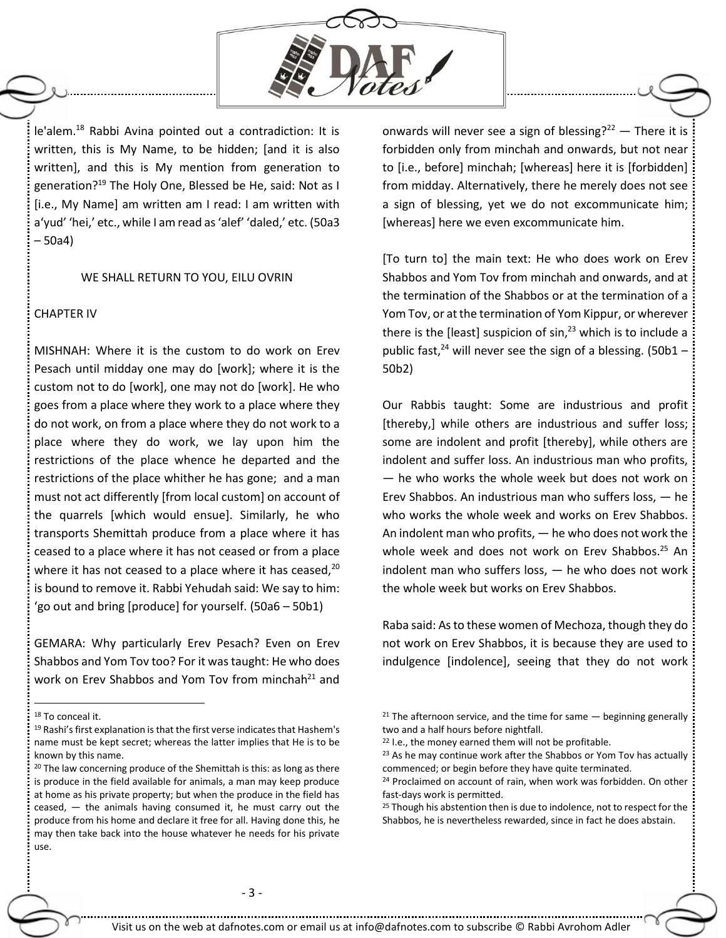

le'alem.<sup>18</sup> Rabbi Avina pointed out a contradiction: It is written, this is My Name, to be hidden; [and it is also written], and this is My mention from generation to generation? <sup>19</sup> The Holy One, Blessed be He, said: Not as I [i.e., My Name] am written am I read: I am written with a'yud' 'hei,' etc., while I am read as 'alef' 'daled,' etc. (50a3 – 50a4)

## WE SHALL RETURN TO YOU, EILU OVRIN

## CHAPTER IV

MISHNAH: Where it is the custom to do work on Erev Pesach until midday one may do [work]; where it is the custom not to do [work], one may not do [work]. He who goes from a place where they work to a place where they do not work, on from a place where they do not work to a place where they do work, we lay upon him the restrictions of the place whence he departed and the restrictions of the place whither he has gone; and a man must not act differently [from local custom] on account of the quarrels [which would ensue]. Similarly, he who transports Shemittah produce from a place where it has ceased to a place where it has not ceased or from a place where it has not ceased to a place where it has ceased, $20$ is bound to remove it. Rabbi Yehudah said: We say to him: 'go out and bring [produce] for yourself. (50a6 – 50b1)

GEMARA: Why particularly Erev Pesach? Even on Erev Shabbos and Yom Tov too? For it was taught: He who does work on Erev Shabbos and Yom Tov from minchah $^{21}$  and

 $\overline{a}$ 

onwards will never see a sign of blessing? $22 -$  There it is forbidden only from minchah and onwards, but not near to [i.e., before] minchah; [whereas] here it is [forbidden] from midday. Alternatively, there he merely does not see a sign of blessing, yet we do not excommunicate him; [whereas] here we even excommunicate him.

[To turn to] the main text: He who does work on Erev Shabbos and Yom Tov from minchah and onwards, and at the termination of the Shabbos or at the termination of a Yom Tov, or at the termination of Yom Kippur, or wherever there is the [least] suspicion of  $sin<sup>23</sup>$  which is to include a public fast,<sup>24</sup> will never see the sign of a blessing. (50b1 – 50b2)

Our Rabbis taught: Some are industrious and profit [thereby,] while others are industrious and suffer loss; some are indolent and profit [thereby], while others are indolent and suffer loss. An industrious man who profits, — he who works the whole week but does not work on Erev Shabbos. An industrious man who suffers loss, — he who works the whole week and works on Erev Shabbos. An indolent man who profits, — he who does not work the whole week and does not work on Erev Shabbos. <sup>25</sup> An indolent man who suffers loss, — he who does not work the whole week but works on Erev Shabbos.

Raba said: As to these women of Mechoza, though they do not work on Erev Shabbos, it is because they are used to indulgence [indolence], seeing that they do not work

<sup>&</sup>lt;sup>18</sup> To conceal it.

<sup>19</sup> Rashi's first explanation is that the first verse indicates that Hashem's name must be kept secret; whereas the latter implies that He is to be known by this name.

<sup>&</sup>lt;sup>20</sup> The law concerning produce of the Shemittah is this: as long as there is produce in the field available for animals, a man may keep produce at home as his private property; but when the produce in the field has ceased, — the animals having consumed it, he must carry out the produce from his home and declare it free for all. Having done this, he may then take back into the house whatever he needs for his private use.

<sup>&</sup>lt;sup>21</sup> The afternoon service, and the time for same  $-$  beginning generally two and a half hours before nightfall.

<sup>&</sup>lt;sup>22</sup> I.e., the money earned them will not be profitable.

<sup>&</sup>lt;sup>23</sup> As he may continue work after the Shabbos or Yom Tov has actually commenced; or begin before they have quite terminated.

<sup>&</sup>lt;sup>24</sup> Proclaimed on account of rain, when work was forbidden. On other fast-days work is permitted.

<sup>&</sup>lt;sup>25</sup> Though his abstention then is due to indolence, not to respect for the Shabbos, he is nevertheless rewarded, since in fact he does abstain.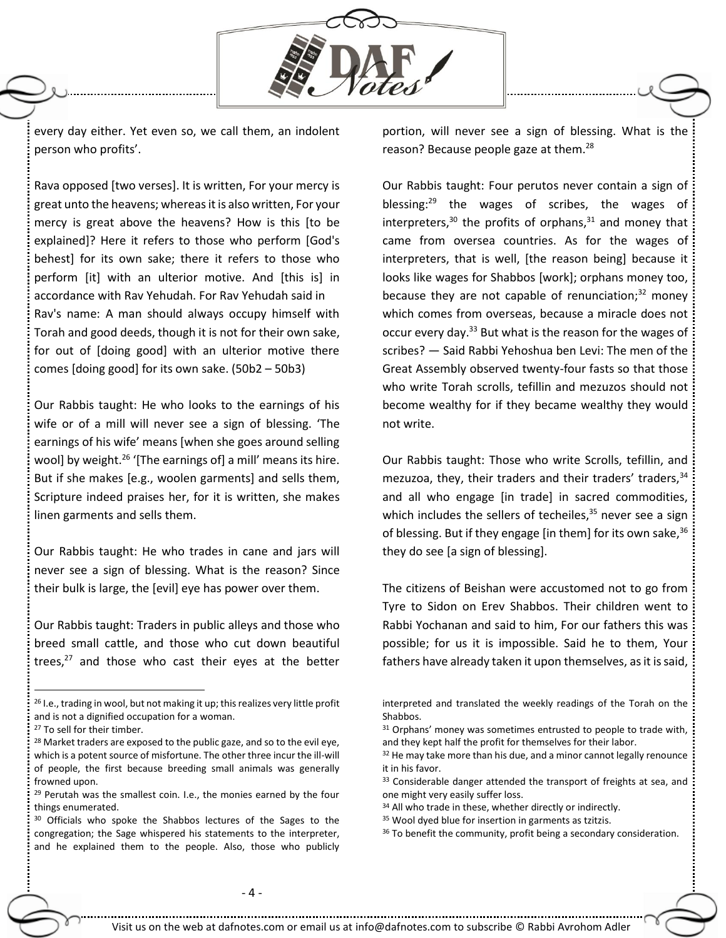

every day either. Yet even so, we call them, an indolent person who profits'.

Rava opposed [two verses]. It is written, For your mercy is great unto the heavens; whereas it is also written, For your mercy is great above the heavens? How is this [to be explained]? Here it refers to those who perform [God's behest] for its own sake; there it refers to those who perform [it] with an ulterior motive. And [this is] in accordance with Rav Yehudah. For Rav Yehudah said in Rav's name: A man should always occupy himself with Torah and good deeds, though it is not for their own sake, for out of [doing good] with an ulterior motive there comes [doing good] for its own sake. (50b2 – 50b3)

Our Rabbis taught: He who looks to the earnings of his wife or of a mill will never see a sign of blessing. 'The earnings of his wife' means [when she goes around selling wool] by weight.<sup>26</sup> '[The earnings of] a mill' means its hire. But if she makes [e.g., woolen garments] and sells them, Scripture indeed praises her, for it is written, she makes linen garments and sells them.

Our Rabbis taught: He who trades in cane and jars will never see a sign of blessing. What is the reason? Since their bulk is large, the [evil] eye has power over them.

Our Rabbis taught: Traders in public alleys and those who breed small cattle, and those who cut down beautiful trees, $^{27}$  and those who cast their eyes at the better

 $\overline{a}$ 

portion, will never see a sign of blessing. What is the reason? Because people gaze at them.<sup>28</sup>

Our Rabbis taught: Four perutos never contain a sign of blessing:<sup>29</sup> the wages of scribes, the wages of interpreters, $30$  the profits of orphans, $31$  and money that came from oversea countries. As for the wages of interpreters, that is well, [the reason being] because it looks like wages for Shabbos [work]; orphans money too, because they are not capable of renunciation; $32$  money which comes from overseas, because a miracle does not occur every day.<sup>33</sup> But what is the reason for the wages of scribes? — Said Rabbi Yehoshua ben Levi: The men of the Great Assembly observed twenty-four fasts so that those who write Torah scrolls, tefillin and mezuzos should not become wealthy for if they became wealthy they would not write.

Our Rabbis taught: Those who write Scrolls, tefillin, and mezuzoa, they, their traders and their traders' traders, 34 and all who engage [in trade] in sacred commodities, which includes the sellers of techeiles,<sup>35</sup> never see a sign of blessing. But if they engage [in them] for its own sake,  $36$ they do see [a sign of blessing].

The citizens of Beishan were accustomed not to go from Tyre to Sidon on Erev Shabbos. Their children went to Rabbi Yochanan and said to him, For our fathers this was possible; for us it is impossible. Said he to them, Your fathers have already taken it upon themselves, as it is said,

- <sup>31</sup> Orphans' money was sometimes entrusted to people to trade with, and they kept half the profit for themselves for their labor.
- $32$  He may take more than his due, and a minor cannot legally renounce it in his favor.
- 33 Considerable danger attended the transport of freights at sea, and one might very easily suffer loss.
- 34 All who trade in these, whether directly or indirectly.
- <sup>35</sup> Wool dyed blue for insertion in garments as tzitzis.

<sup>&</sup>lt;sup>26</sup> I.e., trading in wool, but not making it up; this realizes very little profit and is not a dignified occupation for a woman.

<sup>&</sup>lt;sup>27</sup> To sell for their timber.

<sup>&</sup>lt;sup>28</sup> Market traders are exposed to the public gaze, and so to the evil eye, which is a potent source of misfortune. The other three incur the ill-will of people, the first because breeding small animals was generally frowned upon.

<sup>&</sup>lt;sup>29</sup> Perutah was the smallest coin. I.e., the monies earned by the four things enumerated.

<sup>&</sup>lt;sup>30</sup> Officials who spoke the Shabbos lectures of the Sages to the congregation; the Sage whispered his statements to the interpreter, and he explained them to the people. Also, those who publicly

interpreted and translated the weekly readings of the Torah on the Shabbos.

<sup>&</sup>lt;sup>36</sup> To benefit the community, profit being a secondary consideration.